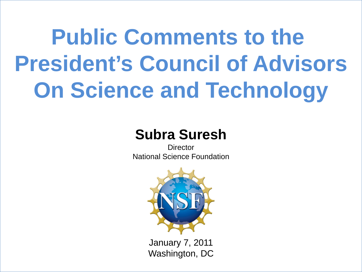# **Public Comments to the President's Council of Advisors On Science and Technology**

### **Subra Suresh**

**Director** National Science Foundation



January 7, 2011 Washington, DC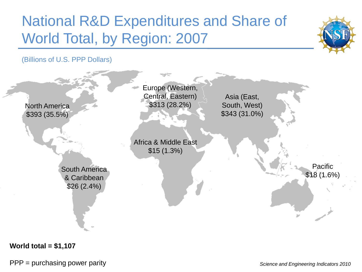## National R&D Expenditures and Share of World Total, by Region: 2007



(Billions of U.S. PPP Dollars)



**World total = \$1,107**

PPP = purchasing power parity *Science and Engineering Indicators 2010*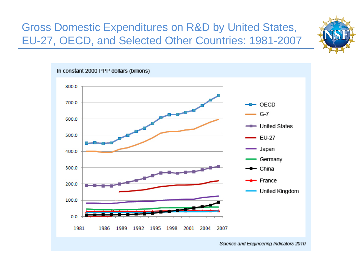#### Gross Domestic Expenditures on R&D by United States, EU-27, OECD, and Selected Other Countries: 1981-2007



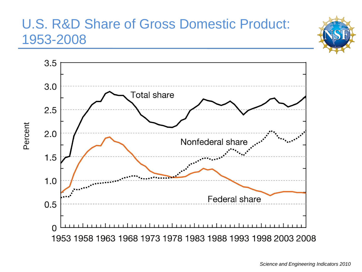#### U.S. R&D Share of Gross Domestic Product: 1953-2008



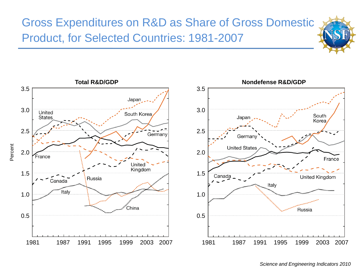#### Gross Expenditures on R&D as Share of Gross Domestic Product, for Selected Countries: 1981-2007

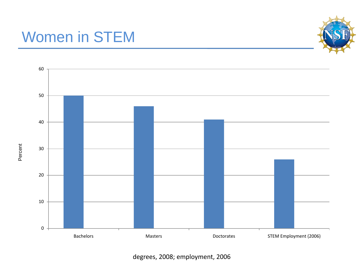## Women in STEM





degrees, 2008; employment, 2006

Percent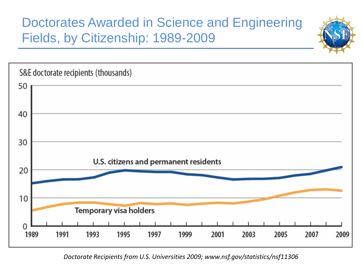#### Doctorates Awarded in Science and Engineering Fields, by Citizenship: 1989-2009





*Doctorate Recipients from U.S. Universities 2009; www.nsf.gov/statistics/nsf11306*